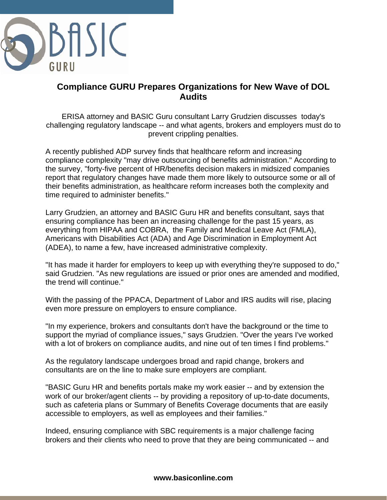

## **Compliance GURU Prepares Organizations for New Wave of DOL Audits**

ERISA attorney and BASIC Guru consultant Larry Grudzien discusses today's challenging regulatory landscape -- and what agents, brokers and employers must do to prevent crippling penalties.

A recently published ADP survey finds that healthcare reform and increasing compliance complexity "may drive outsourcing of benefits administration." According to the survey, "forty-five percent of HR/benefits decision makers in midsized companies report that regulatory changes have made them more likely to outsource some or all of their benefits administration, as healthcare reform increases both the complexity and time required to administer benefits."

Larry Grudzien, an attorney and BASIC Guru HR and benefits consultant, says that ensuring compliance has been an increasing challenge for the past 15 years, as everything from HIPAA and COBRA, the Family and Medical Leave Act (FMLA), Americans with Disabilities Act (ADA) and Age Discrimination in Employment Act (ADEA), to name a few, have increased administrative complexity.

"It has made it harder for employers to keep up with everything they're supposed to do," said Grudzien. "As new regulations are issued or prior ones are amended and modified, the trend will continue."

With the passing of the PPACA, Department of Labor and IRS audits will rise, placing even more pressure on employers to ensure compliance.

"In my experience, brokers and consultants don't have the background or the time to support the myriad of compliance issues," says Grudzien. "Over the years I've worked with a lot of brokers on compliance audits, and nine out of ten times I find problems."

As the regulatory landscape undergoes broad and rapid change, brokers and consultants are on the line to make sure employers are compliant.

"BASIC Guru HR and benefits portals make my work easier -- and by extension the work of our broker/agent clients -- by providing a repository of up-to-date documents, such as cafeteria plans or Summary of Benefits Coverage documents that are easily accessible to employers, as well as employees and their families."

Indeed, ensuring compliance with SBC requirements is a major challenge facing brokers and their clients who need to prove that they are being communicated -- and